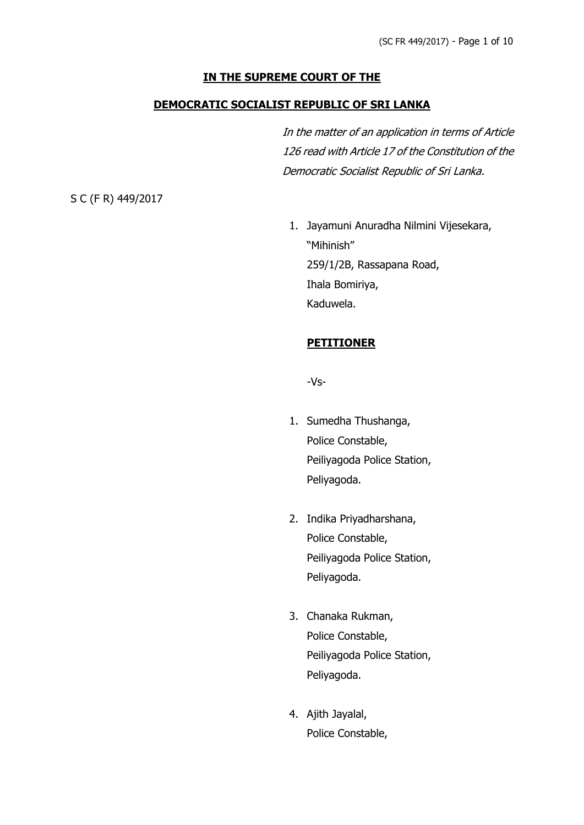### **IN THE SUPREME COURT OF THE**

### **DEMOCRATIC SOCIALIST REPUBLIC OF SRI LANKA**

In the matter of an application in terms of Article 126 read with Article 17 of the Constitution of the Democratic Socialist Republic of Sri Lanka.

S C (F R) 449/2017

1. Jayamuni Anuradha Nilmini Vijesekara, "Mihinish" 259/1/2B, Rassapana Road, Ihala Bomiriya, Kaduwela.

### **PETITIONER**

-Vs-

- 1. Sumedha Thushanga, Police Constable, Peiliyagoda Police Station, Peliyagoda.
- 2. Indika Priyadharshana, Police Constable, Peiliyagoda Police Station, Peliyagoda.
- 3. Chanaka Rukman, Police Constable, Peiliyagoda Police Station, Peliyagoda.
- 4. Ajith Jayalal, Police Constable,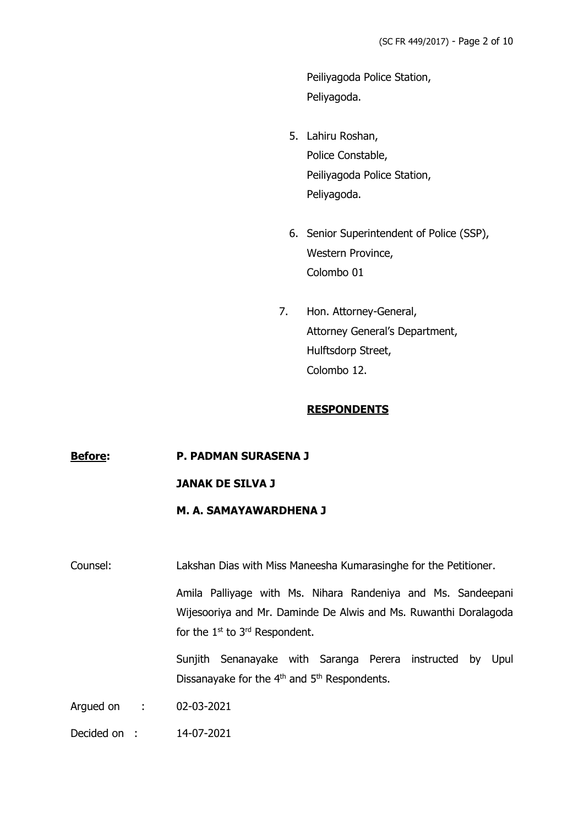Peiliyagoda Police Station, Peliyagoda.

- 5. Lahiru Roshan, Police Constable, Peiliyagoda Police Station, Peliyagoda.
- 6. Senior Superintendent of Police (SSP), Western Province, Colombo 01
- 7. Hon. Attorney-General, Attorney General's Department, Hulftsdorp Street, Colombo 12.

# **RESPONDENTS**

### **Before: P. PADMAN SURASENA J**

### **JANAK DE SILVA J**

# **M. A. SAMAYAWARDHENA J**

Counsel: Lakshan Dias with Miss Maneesha Kumarasinghe for the Petitioner.

Amila Palliyage with Ms. Nihara Randeniya and Ms. Sandeepani Wijesooriya and Mr. Daminde De Alwis and Ms. Ruwanthi Doralagoda for the 1<sup>st</sup> to 3<sup>rd</sup> Respondent.

Sunjith Senanayake with Saranga Perera instructed by Upul Dissanayake for the  $4<sup>th</sup>$  and  $5<sup>th</sup>$  Respondents.

Argued on : 02-03-2021

Decided on : 14-07-2021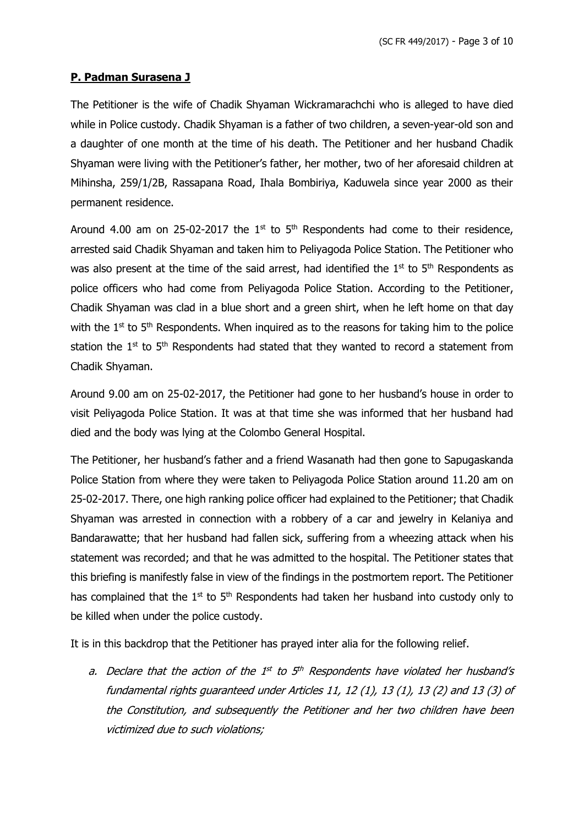# **P. Padman Surasena J**

The Petitioner is the wife of Chadik Shyaman Wickramarachchi who is alleged to have died while in Police custody. Chadik Shyaman is a father of two children, a seven-year-old son and a daughter of one month at the time of his death. The Petitioner and her husband Chadik Shyaman were living with the Petitioner's father, her mother, two of her aforesaid children at Mihinsha, 259/1/2B, Rassapana Road, Ihala Bombiriya, Kaduwela since year 2000 as their permanent residence.

Around 4.00 am on 25-02-2017 the  $1<sup>st</sup>$  to  $5<sup>th</sup>$  Respondents had come to their residence, arrested said Chadik Shyaman and taken him to Peliyagoda Police Station. The Petitioner who was also present at the time of the said arrest, had identified the  $1<sup>st</sup>$  to  $5<sup>th</sup>$  Respondents as police officers who had come from Peliyagoda Police Station. According to the Petitioner, Chadik Shyaman was clad in a blue short and a green shirt, when he left home on that day with the  $1<sup>st</sup>$  to  $5<sup>th</sup>$  Respondents. When inquired as to the reasons for taking him to the police station the  $1^{st}$  to  $5^{th}$  Respondents had stated that they wanted to record a statement from Chadik Shyaman.

Around 9.00 am on 25-02-2017, the Petitioner had gone to her husband's house in order to visit Peliyagoda Police Station. It was at that time she was informed that her husband had died and the body was lying at the Colombo General Hospital.

The Petitioner, her husband's father and a friend Wasanath had then gone to Sapugaskanda Police Station from where they were taken to Peliyagoda Police Station around 11.20 am on 25-02-2017. There, one high ranking police officer had explained to the Petitioner; that Chadik Shyaman was arrested in connection with a robbery of a car and jewelry in Kelaniya and Bandarawatte; that her husband had fallen sick, suffering from a wheezing attack when his statement was recorded; and that he was admitted to the hospital. The Petitioner states that this briefing is manifestly false in view of the findings in the postmortem report. The Petitioner has complained that the  $1<sup>st</sup>$  to  $5<sup>th</sup>$  Respondents had taken her husband into custody only to be killed when under the police custody.

It is in this backdrop that the Petitioner has prayed inter alia for the following relief.

a. Declare that the action of the  $1^{st}$  to  $5^{th}$  Respondents have violated her husband's fundamental rights guaranteed under Articles 11, 12 (1), 13 (1), 13 (2) and 13 (3) of the Constitution, and subsequently the Petitioner and her two children have been victimized due to such violations;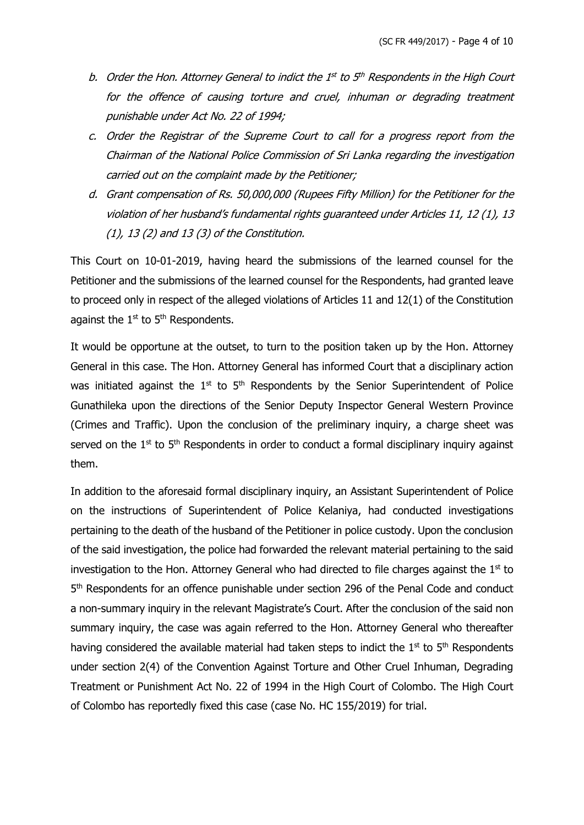- b. Order the Hon. Attorney General to indict the 1st to 5th Respondents in the High Court for the offence of causing torture and cruel, inhuman or degrading treatment punishable under Act No. 22 of 1994;
- c. Order the Registrar of the Supreme Court to call for a progress report from the Chairman of the National Police Commission of Sri Lanka regarding the investigation carried out on the complaint made by the Petitioner;
- d. Grant compensation of Rs. 50,000,000 (Rupees Fifty Million) for the Petitioner for the violation of her husband's fundamental rights guaranteed under Articles 11, 12 (1), 13 (1), 13 (2) and 13 (3) of the Constitution.

This Court on 10-01-2019, having heard the submissions of the learned counsel for the Petitioner and the submissions of the learned counsel for the Respondents, had granted leave to proceed only in respect of the alleged violations of Articles 11 and 12(1) of the Constitution against the  $1<sup>st</sup>$  to  $5<sup>th</sup>$  Respondents.

It would be opportune at the outset, to turn to the position taken up by the Hon. Attorney General in this case. The Hon. Attorney General has informed Court that a disciplinary action was initiated against the  $1<sup>st</sup>$  to  $5<sup>th</sup>$  Respondents by the Senior Superintendent of Police Gunathileka upon the directions of the Senior Deputy Inspector General Western Province (Crimes and Traffic). Upon the conclusion of the preliminary inquiry, a charge sheet was served on the  $1<sup>st</sup>$  to  $5<sup>th</sup>$  Respondents in order to conduct a formal disciplinary inquiry against them.

In addition to the aforesaid formal disciplinary inquiry, an Assistant Superintendent of Police on the instructions of Superintendent of Police Kelaniya, had conducted investigations pertaining to the death of the husband of the Petitioner in police custody. Upon the conclusion of the said investigation, the police had forwarded the relevant material pertaining to the said investigation to the Hon. Attorney General who had directed to file charges against the  $1<sup>st</sup>$  to 5<sup>th</sup> Respondents for an offence punishable under section 296 of the Penal Code and conduct a non-summary inquiry in the relevant Magistrate's Court. After the conclusion of the said non summary inquiry, the case was again referred to the Hon. Attorney General who thereafter having considered the available material had taken steps to indict the  $1<sup>st</sup>$  to  $5<sup>th</sup>$  Respondents under section 2(4) of the Convention Against Torture and Other Cruel Inhuman, Degrading Treatment or Punishment Act No. 22 of 1994 in the High Court of Colombo. The High Court of Colombo has reportedly fixed this case (case No. HC 155/2019) for trial.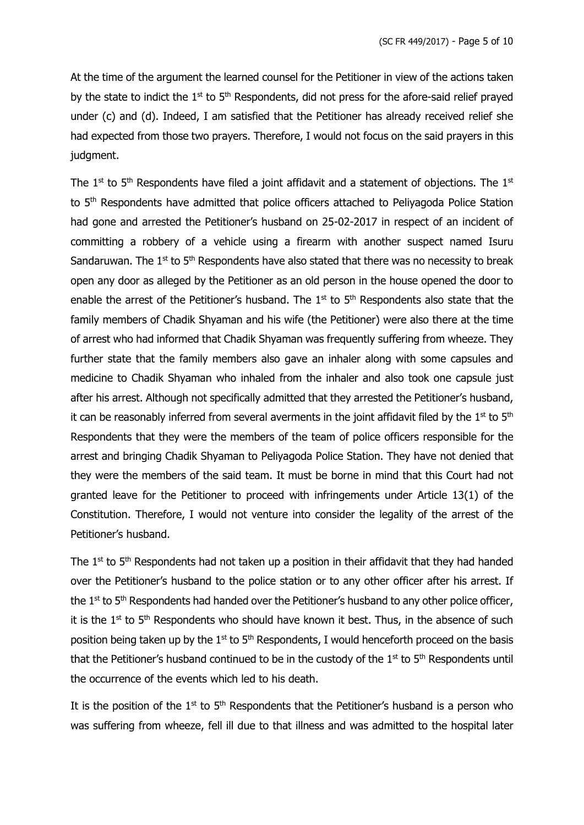At the time of the argument the learned counsel for the Petitioner in view of the actions taken by the state to indict the  $1<sup>st</sup>$  to  $5<sup>th</sup>$  Respondents, did not press for the afore-said relief prayed under (c) and (d). Indeed, I am satisfied that the Petitioner has already received relief she had expected from those two prayers. Therefore, I would not focus on the said prayers in this judgment.

The  $1<sup>st</sup>$  to  $5<sup>th</sup>$  Respondents have filed a joint affidavit and a statement of objections. The  $1<sup>st</sup>$ to 5<sup>th</sup> Respondents have admitted that police officers attached to Peliyagoda Police Station had gone and arrested the Petitioner's husband on 25-02-2017 in respect of an incident of committing a robbery of a vehicle using a firearm with another suspect named Isuru Sandaruwan. The  $1<sup>st</sup>$  to  $5<sup>th</sup>$  Respondents have also stated that there was no necessity to break open any door as alleged by the Petitioner as an old person in the house opened the door to enable the arrest of the Petitioner's husband. The  $1<sup>st</sup>$  to  $5<sup>th</sup>$  Respondents also state that the family members of Chadik Shyaman and his wife (the Petitioner) were also there at the time of arrest who had informed that Chadik Shyaman was frequently suffering from wheeze. They further state that the family members also gave an inhaler along with some capsules and medicine to Chadik Shyaman who inhaled from the inhaler and also took one capsule just after his arrest. Although not specifically admitted that they arrested the Petitioner's husband, it can be reasonably inferred from several averments in the joint affidavit filed by the  $1<sup>st</sup>$  to  $5<sup>th</sup>$ Respondents that they were the members of the team of police officers responsible for the arrest and bringing Chadik Shyaman to Peliyagoda Police Station. They have not denied that they were the members of the said team. It must be borne in mind that this Court had not granted leave for the Petitioner to proceed with infringements under Article 13(1) of the Constitution. Therefore, I would not venture into consider the legality of the arrest of the Petitioner's husband.

The  $1^{st}$  to  $5^{th}$  Respondents had not taken up a position in their affidavit that they had handed over the Petitioner's husband to the police station or to any other officer after his arrest. If the  $1<sup>st</sup>$  to  $5<sup>th</sup>$  Respondents had handed over the Petitioner's husband to any other police officer, it is the  $1<sup>st</sup>$  to  $5<sup>th</sup>$  Respondents who should have known it best. Thus, in the absence of such position being taken up by the  $1<sup>st</sup>$  to  $5<sup>th</sup>$  Respondents, I would henceforth proceed on the basis that the Petitioner's husband continued to be in the custody of the  $1<sup>st</sup>$  to  $5<sup>th</sup>$  Respondents until the occurrence of the events which led to his death.

It is the position of the 1<sup>st</sup> to  $5<sup>th</sup>$  Respondents that the Petitioner's husband is a person who was suffering from wheeze, fell ill due to that illness and was admitted to the hospital later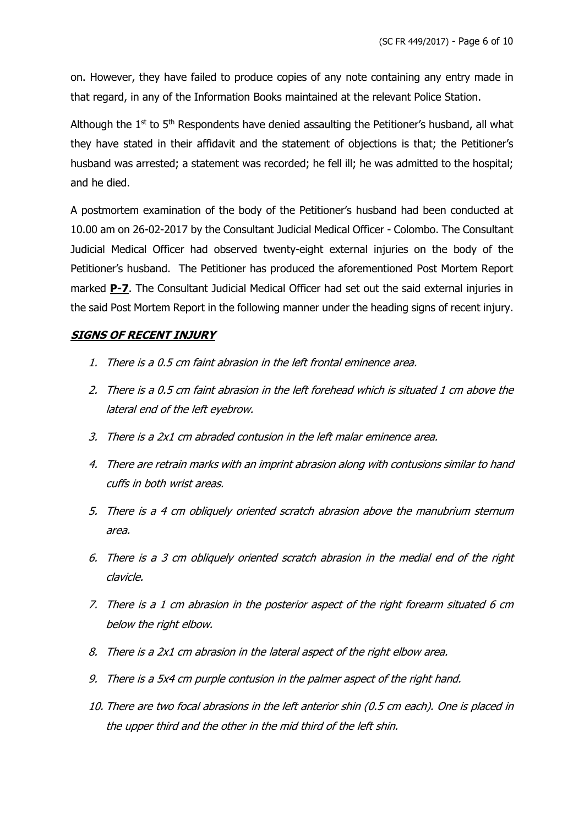on. However, they have failed to produce copies of any note containing any entry made in that regard, in any of the Information Books maintained at the relevant Police Station.

Although the  $1<sup>st</sup>$  to  $5<sup>th</sup>$  Respondents have denied assaulting the Petitioner's husband, all what they have stated in their affidavit and the statement of objections is that; the Petitioner's husband was arrested; a statement was recorded; he fell ill; he was admitted to the hospital; and he died.

A postmortem examination of the body of the Petitioner's husband had been conducted at 10.00 am on 26-02-2017 by the Consultant Judicial Medical Officer - Colombo. The Consultant Judicial Medical Officer had observed twenty-eight external injuries on the body of the Petitioner's husband. The Petitioner has produced the aforementioned Post Mortem Report marked **P-7**. The Consultant Judicial Medical Officer had set out the said external injuries in the said Post Mortem Report in the following manner under the heading signs of recent injury.

# **SIGNS OF RECENT INJURY**

- 1. There is a 0.5 cm faint abrasion in the left frontal eminence area.
- 2. There is a 0.5 cm faint abrasion in the left forehead which is situated 1 cm above the lateral end of the left eyebrow.
- 3. There is a 2x1 cm abraded contusion in the left malar eminence area.
- 4. There are retrain marks with an imprint abrasion along with contusions similar to hand cuffs in both wrist areas.
- 5. There is a 4 cm obliquely oriented scratch abrasion above the manubrium sternum area.
- 6. There is a 3 cm obliquely oriented scratch abrasion in the medial end of the right clavicle.
- 7. There is a 1 cm abrasion in the posterior aspect of the right forearm situated 6 cm below the right elbow.
- 8. There is a 2x1 cm abrasion in the lateral aspect of the right elbow area.
- 9. There is a 5x4 cm purple contusion in the palmer aspect of the right hand.
- 10. There are two focal abrasions in the left anterior shin (0.5 cm each). One is placed in the upper third and the other in the mid third of the left shin.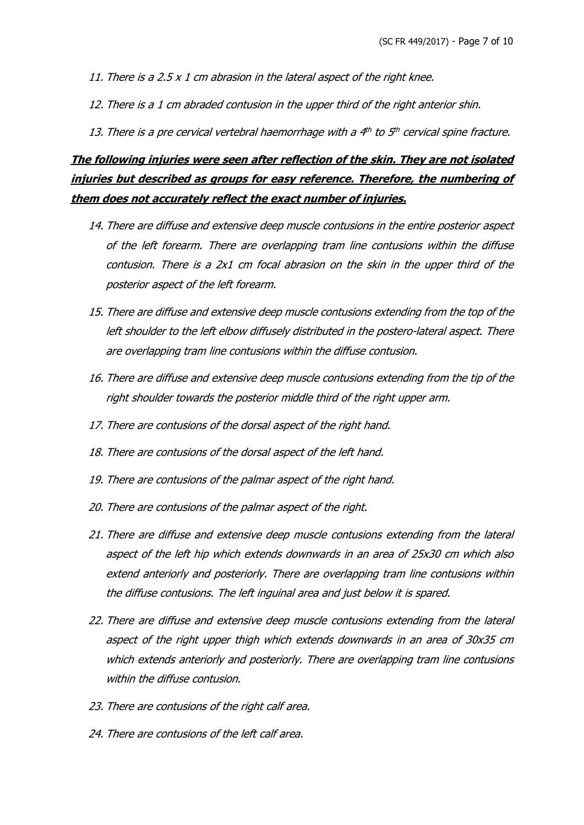- 11. There is a 2.5  $\times$  1 cm abrasion in the lateral aspect of the right knee.
- 12. There is a 1 cm abraded contusion in the upper third of the right anterior shin.
- 13. There is a pre cervical vertebral haemorrhage with a 4th to 5th cervical spine fracture.

# **The following injuries were seen after reflection of the skin. They are not isolated injuries but described as groups for easy reference. Therefore, the numbering of them does not accurately reflect the exact number of injuries.**

- 14. There are diffuse and extensive deep muscle contusions in the entire posterior aspect of the left forearm. There are overlapping tram line contusions within the diffuse contusion. There is a 2x1 cm focal abrasion on the skin in the upper third of the posterior aspect of the left forearm.
- 15. There are diffuse and extensive deep muscle contusions extending from the top of the left shoulder to the left elbow diffusely distributed in the postero-lateral aspect. There are overlapping tram line contusions within the diffuse contusion.
- 16. There are diffuse and extensive deep muscle contusions extending from the tip of the right shoulder towards the posterior middle third of the right upper arm.
- 17. There are contusions of the dorsal aspect of the right hand.
- 18. There are contusions of the dorsal aspect of the left hand.
- 19. There are contusions of the palmar aspect of the right hand.
- 20. There are contusions of the palmar aspect of the right.
- 21. There are diffuse and extensive deep muscle contusions extending from the lateral aspect of the left hip which extends downwards in an area of 25x30 cm which also extend anteriorly and posteriorly. There are overlapping tram line contusions within the diffuse contusions. The left inguinal area and just below it is spared.
- 22. There are diffuse and extensive deep muscle contusions extending from the lateral aspect of the right upper thigh which extends downwards in an area of 30x35 cm which extends anteriorly and posteriorly. There are overlapping tram line contusions within the diffuse contusion.
- 23. There are contusions of the right calf area.
- 24. There are contusions of the left calf area.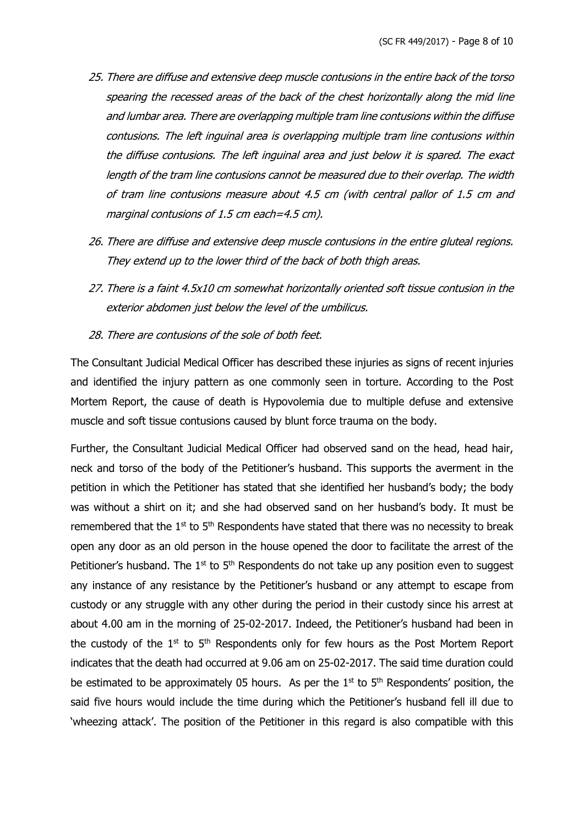- 25. There are diffuse and extensive deep muscle contusions in the entire back of the torso spearing the recessed areas of the back of the chest horizontally along the mid line and lumbar area. There are overlapping multiple tram line contusions within the diffuse contusions. The left inguinal area is overlapping multiple tram line contusions within the diffuse contusions. The left inguinal area and just below it is spared. The exact length of the tram line contusions cannot be measured due to their overlap. The width of tram line contusions measure about 4.5 cm (with central pallor of 1.5 cm and marginal contusions of 1.5 cm each=4.5 cm).
- 26. There are diffuse and extensive deep muscle contusions in the entire gluteal regions. They extend up to the lower third of the back of both thigh areas.
- 27. There is a faint 4.5x10 cm somewhat horizontally oriented soft tissue contusion in the exterior abdomen just below the level of the umbilicus.
- 28. There are contusions of the sole of both feet.

The Consultant Judicial Medical Officer has described these injuries as signs of recent injuries and identified the injury pattern as one commonly seen in torture. According to the Post Mortem Report, the cause of death is Hypovolemia due to multiple defuse and extensive muscle and soft tissue contusions caused by blunt force trauma on the body.

Further, the Consultant Judicial Medical Officer had observed sand on the head, head hair, neck and torso of the body of the Petitioner's husband. This supports the averment in the petition in which the Petitioner has stated that she identified her husband's body; the body was without a shirt on it; and she had observed sand on her husband's body. It must be remembered that the  $1<sup>st</sup>$  to  $5<sup>th</sup>$  Respondents have stated that there was no necessity to break open any door as an old person in the house opened the door to facilitate the arrest of the Petitioner's husband. The  $1<sup>st</sup>$  to  $5<sup>th</sup>$  Respondents do not take up any position even to suggest any instance of any resistance by the Petitioner's husband or any attempt to escape from custody or any struggle with any other during the period in their custody since his arrest at about 4.00 am in the morning of 25-02-2017. Indeed, the Petitioner's husband had been in the custody of the  $1<sup>st</sup>$  to  $5<sup>th</sup>$  Respondents only for few hours as the Post Mortem Report indicates that the death had occurred at 9.06 am on 25-02-2017. The said time duration could be estimated to be approximately 05 hours. As per the  $1<sup>st</sup>$  to  $5<sup>th</sup>$  Respondents' position, the said five hours would include the time during which the Petitioner's husband fell ill due to 'wheezing attack'. The position of the Petitioner in this regard is also compatible with this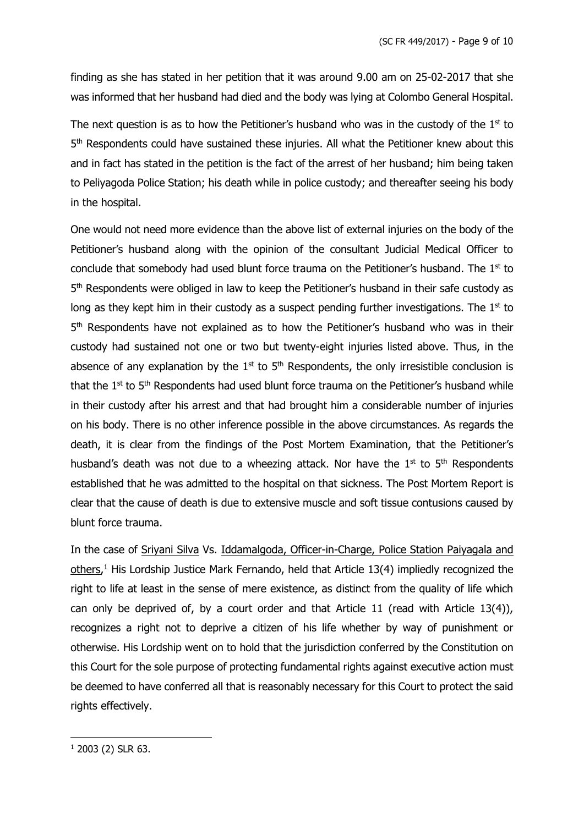finding as she has stated in her petition that it was around 9.00 am on 25-02-2017 that she was informed that her husband had died and the body was lying at Colombo General Hospital.

The next question is as to how the Petitioner's husband who was in the custody of the  $1<sup>st</sup>$  to 5<sup>th</sup> Respondents could have sustained these injuries. All what the Petitioner knew about this and in fact has stated in the petition is the fact of the arrest of her husband; him being taken to Peliyagoda Police Station; his death while in police custody; and thereafter seeing his body in the hospital.

One would not need more evidence than the above list of external injuries on the body of the Petitioner's husband along with the opinion of the consultant Judicial Medical Officer to conclude that somebody had used blunt force trauma on the Petitioner's husband. The 1<sup>st</sup> to 5<sup>th</sup> Respondents were obliged in law to keep the Petitioner's husband in their safe custody as long as they kept him in their custody as a suspect pending further investigations. The  $1<sup>st</sup>$  to 5<sup>th</sup> Respondents have not explained as to how the Petitioner's husband who was in their custody had sustained not one or two but twenty-eight injuries listed above. Thus, in the absence of any explanation by the  $1<sup>st</sup>$  to  $5<sup>th</sup>$  Respondents, the only irresistible conclusion is that the 1<sup>st</sup> to 5<sup>th</sup> Respondents had used blunt force trauma on the Petitioner's husband while in their custody after his arrest and that had brought him a considerable number of injuries on his body. There is no other inference possible in the above circumstances. As regards the death, it is clear from the findings of the Post Mortem Examination, that the Petitioner's husband's death was not due to a wheezing attack. Nor have the  $1<sup>st</sup>$  to  $5<sup>th</sup>$  Respondents established that he was admitted to the hospital on that sickness. The Post Mortem Report is clear that the cause of death is due to extensive muscle and soft tissue contusions caused by blunt force trauma.

In the case of Sriyani Silva Vs. Iddamalgoda, Officer-in-Charge, Police Station Paiyagala and others,<sup>1</sup> His Lordship Justice Mark Fernando, held that Article 13(4) impliedly recognized the right to life at least in the sense of mere existence, as distinct from the quality of life which can only be deprived of, by a court order and that Article 11 (read with Article 13(4)), recognizes a right not to deprive a citizen of his life whether by way of punishment or otherwise. His Lordship went on to hold that the jurisdiction conferred by the Constitution on this Court for the sole purpose of protecting fundamental rights against executive action must be deemed to have conferred all that is reasonably necessary for this Court to protect the said rights effectively.

 $1$  2003 (2) SLR 63.